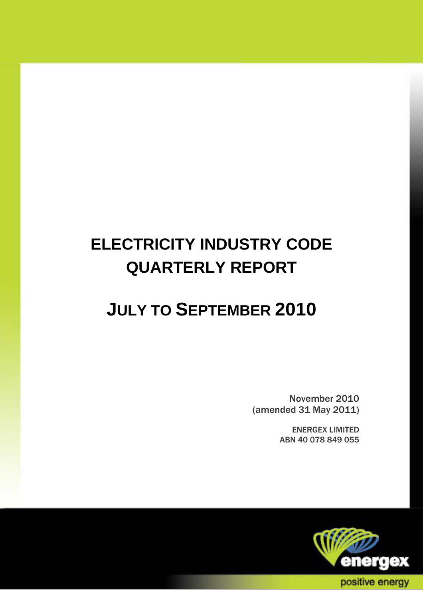# **ELECTRICITY INDUSTRY CODE QUARTERLY REPORT**

# **JULY TO SEPTEMBER 2010**

November 2010 (amended 31 May 2011)

> ENERGEX LIMITED ABN 40 078 849 055

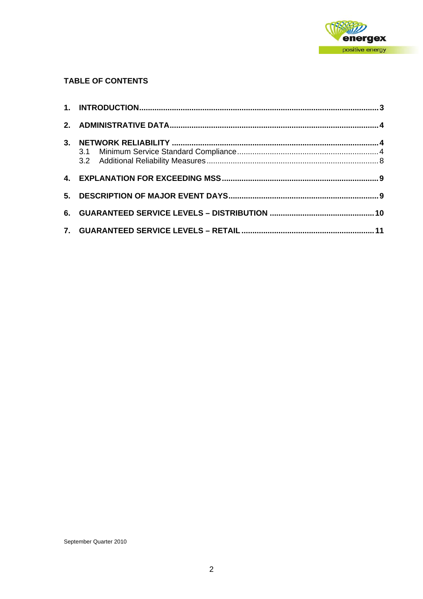

#### **TABLE OF CONTENTS**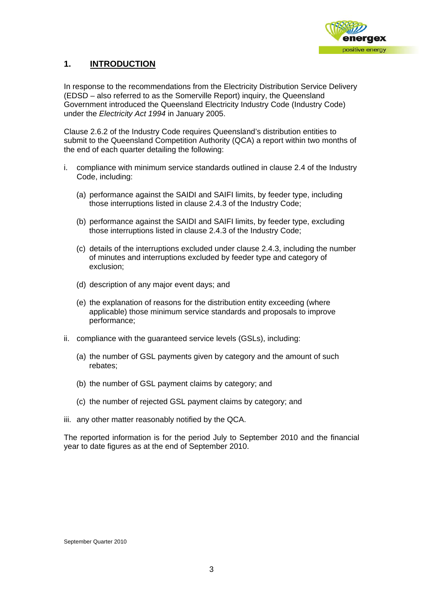

### **1. INTRODUCTION**

In response to the recommendations from the Electricity Distribution Service Delivery (EDSD – also referred to as the Somerville Report) inquiry, the Queensland Government introduced the Queensland Electricity Industry Code (Industry Code) under the *Electricity Act 1994* in January 2005.

Clause 2.6.2 of the Industry Code requires Queensland's distribution entities to submit to the Queensland Competition Authority (QCA) a report within two months of the end of each quarter detailing the following:

- i. compliance with minimum service standards outlined in clause 2.4 of the Industry Code, including:
	- (a) performance against the SAIDI and SAIFI limits, by feeder type, including those interruptions listed in clause 2.4.3 of the Industry Code;
	- (b) performance against the SAIDI and SAIFI limits, by feeder type, excluding those interruptions listed in clause 2.4.3 of the Industry Code;
	- (c) details of the interruptions excluded under clause 2.4.3, including the number of minutes and interruptions excluded by feeder type and category of exclusion;
	- (d) description of any major event days; and
	- (e) the explanation of reasons for the distribution entity exceeding (where applicable) those minimum service standards and proposals to improve performance;
- ii. compliance with the guaranteed service levels (GSLs), including:
	- (a) the number of GSL payments given by category and the amount of such rebates;
	- (b) the number of GSL payment claims by category; and
	- (c) the number of rejected GSL payment claims by category; and
- iii. any other matter reasonably notified by the QCA.

The reported information is for the period July to September 2010 and the financial year to date figures as at the end of September 2010.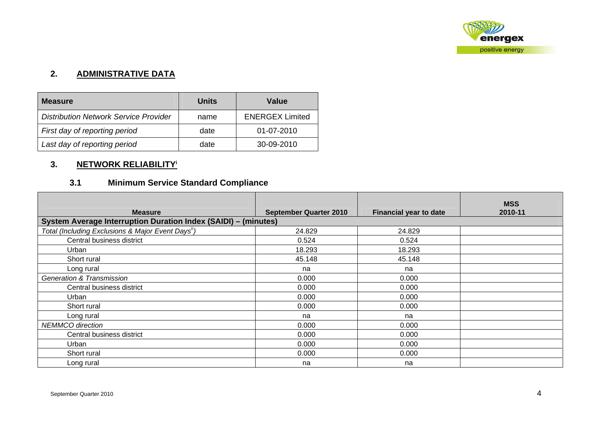

#### **2. ADMINISTRATIVE DATA**

| <b>Measure</b>                               | Units | Value                  |
|----------------------------------------------|-------|------------------------|
| <b>Distribution Network Service Provider</b> | name  | <b>ENERGEX Limited</b> |
| First day of reporting period                | date  | 01-07-2010             |
| Last day of reporting period                 | date  | 30-09-2010             |

## **3. NETWORK RELIABILITY<sup>i</sup>**

## **3.1 Minimum Service Standard Compliance**

| <b>Measure</b>                                                 | <b>September Quarter 2010</b> | <b>Financial year to date</b> | <b>MSS</b><br>2010-11 |
|----------------------------------------------------------------|-------------------------------|-------------------------------|-----------------------|
| System Average Interruption Duration Index (SAIDI) - (minutes) |                               |                               |                       |
| Total (Including Exclusions & Major Event Days <sup>ii</sup> ) | 24.829                        | 24.829                        |                       |
| Central business district                                      | 0.524                         | 0.524                         |                       |
| Urban                                                          | 18.293                        | 18.293                        |                       |
| Short rural                                                    | 45.148                        | 45.148                        |                       |
| Long rural                                                     | na                            | na                            |                       |
| <b>Generation &amp; Transmission</b>                           | 0.000                         | 0.000                         |                       |
| Central business district                                      | 0.000                         | 0.000                         |                       |
| Urban                                                          | 0.000                         | 0.000                         |                       |
| Short rural                                                    | 0.000                         | 0.000                         |                       |
| Long rural                                                     | na                            | na                            |                       |
| <b>NEMMCO</b> direction                                        | 0.000                         | 0.000                         |                       |
| Central business district                                      | 0.000                         | 0.000                         |                       |
| Urban                                                          | 0.000                         | 0.000                         |                       |
| Short rural                                                    | 0.000                         | 0.000                         |                       |
| Long rural                                                     | na                            | na                            |                       |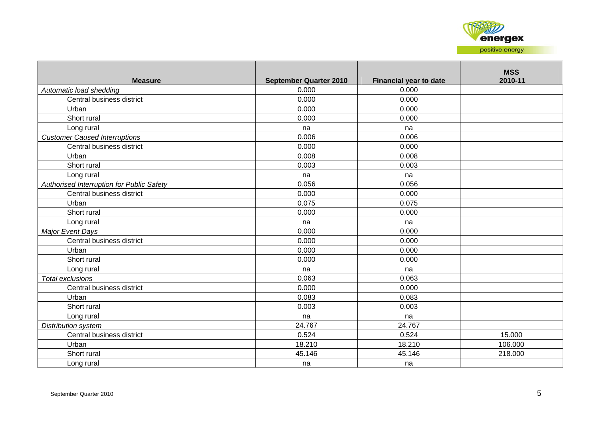

| <b>Measure</b>                            | <b>September Quarter 2010</b> | <b>Financial year to date</b> | <b>MSS</b><br>2010-11 |
|-------------------------------------------|-------------------------------|-------------------------------|-----------------------|
| Automatic load shedding                   | 0.000                         | 0.000                         |                       |
| Central business district                 | 0.000                         | 0.000                         |                       |
| Urban                                     | 0.000                         | 0.000                         |                       |
| Short rural                               | 0.000                         | 0.000                         |                       |
| Long rural                                | na                            | na                            |                       |
| <b>Customer Caused Interruptions</b>      | 0.006                         | 0.006                         |                       |
| Central business district                 | 0.000                         | 0.000                         |                       |
| Urban                                     | 0.008                         | 0.008                         |                       |
| Short rural                               | 0.003                         | 0.003                         |                       |
| Long rural                                | na                            | na                            |                       |
| Authorised Interruption for Public Safety | 0.056                         | 0.056                         |                       |
| Central business district                 | 0.000                         | 0.000                         |                       |
| Urban                                     | 0.075                         | 0.075                         |                       |
| Short rural                               | 0.000                         | 0.000                         |                       |
| Long rural                                | na                            | na                            |                       |
| <b>Major Event Days</b>                   | 0.000                         | 0.000                         |                       |
| Central business district                 | 0.000                         | 0.000                         |                       |
| Urban                                     | 0.000                         | 0.000                         |                       |
| Short rural                               | 0.000                         | 0.000                         |                       |
| Long rural                                | na                            | na                            |                       |
| Total exclusions                          | 0.063                         | 0.063                         |                       |
| Central business district                 | 0.000                         | 0.000                         |                       |
| Urban                                     | 0.083                         | 0.083                         |                       |
| Short rural                               | 0.003                         | 0.003                         |                       |
| Long rural                                | na                            | na                            |                       |
| Distribution system                       | 24.767                        | 24.767                        |                       |
| Central business district                 | 0.524                         | 0.524                         | 15.000                |
| Urban                                     | 18.210                        | 18.210                        | 106.000               |
| Short rural                               | 45.146                        | 45.146                        | 218.000               |
| Long rural                                | na                            | na                            |                       |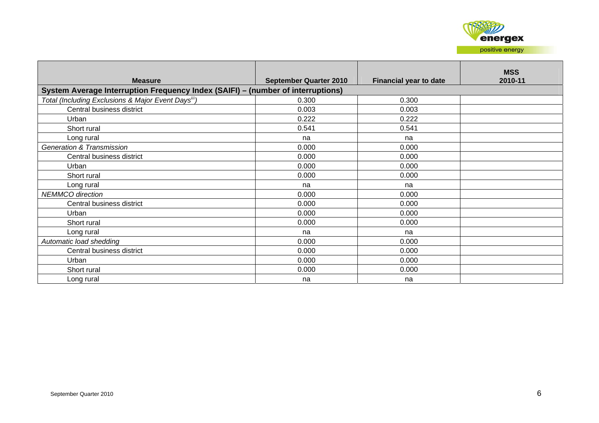

| <b>Measure</b>                                                                  | <b>September Quarter 2010</b> | <b>Financial year to date</b> | <b>MSS</b><br>2010-11 |
|---------------------------------------------------------------------------------|-------------------------------|-------------------------------|-----------------------|
| System Average Interruption Frequency Index (SAIFI) - (number of interruptions) |                               |                               |                       |
| Total (Including Exclusions & Major Event Days <sup>iii</sup> )                 | 0.300                         | 0.300                         |                       |
| Central business district                                                       | 0.003                         | 0.003                         |                       |
| Urban                                                                           | 0.222                         | 0.222                         |                       |
| Short rural                                                                     | 0.541                         | 0.541                         |                       |
| Long rural                                                                      | na                            | na                            |                       |
| <b>Generation &amp; Transmission</b>                                            | 0.000                         | 0.000                         |                       |
| Central business district                                                       | 0.000                         | 0.000                         |                       |
| Urban                                                                           | 0.000                         | 0.000                         |                       |
| Short rural                                                                     | 0.000                         | 0.000                         |                       |
| Long rural                                                                      | na                            | na                            |                       |
| <b>NEMMCO</b> direction                                                         | 0.000                         | 0.000                         |                       |
| Central business district                                                       | 0.000                         | 0.000                         |                       |
| Urban                                                                           | 0.000                         | 0.000                         |                       |
| Short rural                                                                     | 0.000                         | 0.000                         |                       |
| Long rural                                                                      | na                            | na                            |                       |
| Automatic load shedding                                                         | 0.000                         | 0.000                         |                       |
| Central business district                                                       | 0.000                         | 0.000                         |                       |
| Urban                                                                           | 0.000                         | 0.000                         |                       |
| Short rural                                                                     | 0.000                         | 0.000                         |                       |
| Long rural                                                                      | na                            | na                            |                       |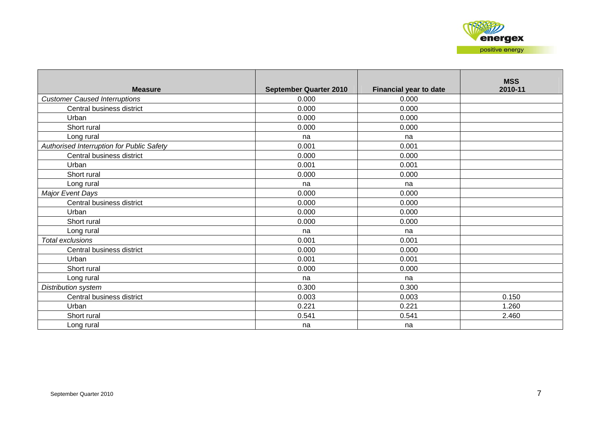| <b>Measure</b>                            | <b>September Quarter 2010</b> | <b>Financial year to date</b> | <b>MSS</b><br>2010-11 |
|-------------------------------------------|-------------------------------|-------------------------------|-----------------------|
| <b>Customer Caused Interruptions</b>      | 0.000                         | 0.000                         |                       |
| Central business district                 | 0.000                         | 0.000                         |                       |
| Urban                                     | 0.000                         | 0.000                         |                       |
| Short rural                               | 0.000                         | 0.000                         |                       |
| Long rural                                | na                            | na                            |                       |
| Authorised Interruption for Public Safety | 0.001                         | 0.001                         |                       |
| Central business district                 | 0.000                         | 0.000                         |                       |
| Urban                                     | 0.001                         | 0.001                         |                       |
| Short rural                               | 0.000                         | 0.000                         |                       |
| Long rural                                | na                            | na                            |                       |
| <b>Major Event Days</b>                   | 0.000                         | 0.000                         |                       |
| Central business district                 | 0.000                         | 0.000                         |                       |
| Urban                                     | 0.000                         | 0.000                         |                       |
| Short rural                               | 0.000                         | 0.000                         |                       |
| Long rural                                | na                            | na                            |                       |
| Total exclusions                          | 0.001                         | 0.001                         |                       |
| Central business district                 | 0.000                         | 0.000                         |                       |
| Urban                                     | 0.001                         | 0.001                         |                       |
| Short rural                               | 0.000                         | 0.000                         |                       |
| Long rural                                | na                            | na                            |                       |
| Distribution system                       | 0.300                         | 0.300                         |                       |
| Central business district                 | 0.003                         | 0.003                         | 0.150                 |
| Urban                                     | 0.221                         | 0.221                         | 1.260                 |
| Short rural                               | 0.541                         | 0.541                         | 2.460                 |
| Long rural                                | na                            | na                            |                       |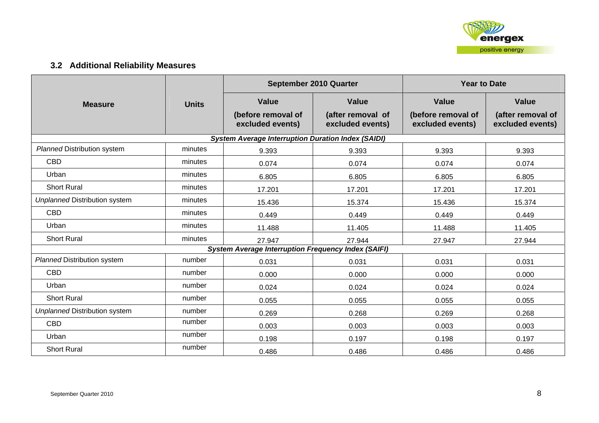

## **3.2 Additional Reliability Measures**

|                                      |              |                                                            | September 2010 Quarter                | <b>Year to Date</b>                    |                                       |  |
|--------------------------------------|--------------|------------------------------------------------------------|---------------------------------------|----------------------------------------|---------------------------------------|--|
| <b>Measure</b>                       | <b>Units</b> | <b>Value</b>                                               | <b>Value</b>                          | <b>Value</b>                           | <b>Value</b>                          |  |
|                                      |              | (before removal of<br>excluded events)                     | (after removal of<br>excluded events) | (before removal of<br>excluded events) | (after removal of<br>excluded events) |  |
|                                      |              | <b>System Average Interruption Duration Index (SAIDI)</b>  |                                       |                                        |                                       |  |
| <b>Planned Distribution system</b>   | minutes      | 9.393                                                      | 9.393                                 | 9.393                                  | 9.393                                 |  |
| <b>CBD</b>                           | minutes      | 0.074                                                      | 0.074                                 | 0.074                                  | 0.074                                 |  |
| Urban                                | minutes      | 6.805                                                      | 6.805                                 | 6.805                                  | 6.805                                 |  |
| <b>Short Rural</b>                   | minutes      | 17.201                                                     | 17.201                                | 17.201                                 | 17.201                                |  |
| <b>Unplanned Distribution system</b> | minutes      | 15.436                                                     | 15.374                                | 15.436                                 | 15.374                                |  |
| <b>CBD</b>                           | minutes      | 0.449                                                      | 0.449                                 | 0.449                                  | 0.449                                 |  |
| Urban<br>minutes                     |              | 11.488                                                     | 11.405                                | 11.488                                 | 11.405                                |  |
| <b>Short Rural</b>                   | minutes      | 27.947                                                     | 27.944                                | 27.947                                 | 27.944                                |  |
|                                      |              | <b>System Average Interruption Frequency Index (SAIFI)</b> |                                       |                                        |                                       |  |
| <b>Planned Distribution system</b>   | number       | 0.031                                                      | 0.031                                 | 0.031                                  | 0.031                                 |  |
| <b>CBD</b>                           | number       | 0.000                                                      | 0.000                                 | 0.000                                  | 0.000                                 |  |
| Urban                                | number       | 0.024                                                      | 0.024                                 | 0.024                                  | 0.024                                 |  |
| <b>Short Rural</b>                   | number       | 0.055                                                      | 0.055                                 | 0.055                                  | 0.055                                 |  |
| <b>Unplanned Distribution system</b> | number       | 0.269                                                      | 0.268                                 | 0.269                                  | 0.268                                 |  |
| <b>CBD</b>                           | number       | 0.003                                                      | 0.003                                 | 0.003                                  | 0.003                                 |  |
| Urban                                | number       | 0.198                                                      | 0.197                                 | 0.198                                  | 0.197                                 |  |
| <b>Short Rural</b>                   | number       | 0.486                                                      | 0.486                                 | 0.486                                  | 0.486                                 |  |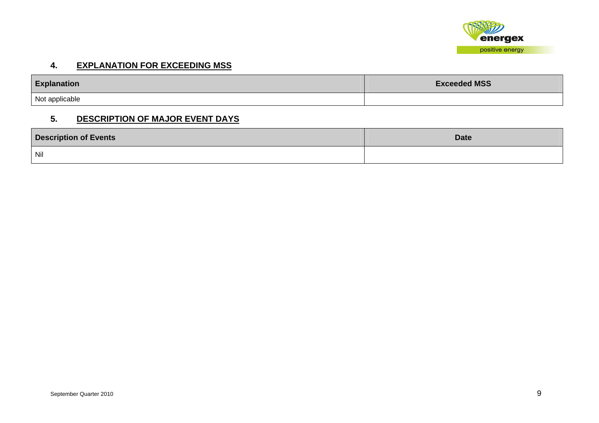

#### **4. EXPLANATION FOR EXCEEDING MSS**

| <b>Explanation</b> | <b>Exceeded MSS</b> |
|--------------------|---------------------|
| Not applicable     |                     |

#### **5. DESCRIPTION OF MAJOR EVENT DAYS**

| <b>Description of Events</b> | <b>Date</b> |
|------------------------------|-------------|
| Nil                          |             |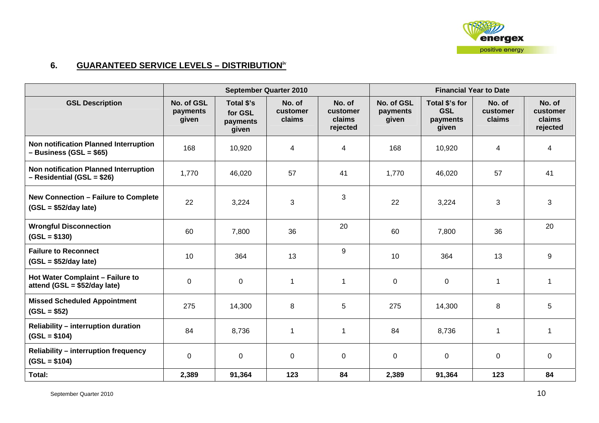

## **6. GUARANTEED SERVICE LEVELS – DISTRIBUTIONiv**

|                                                                       | <b>September Quarter 2010</b>   |                                            |                              | <b>Financial Year to Date</b>            |                                 |                                                   |                              |                                          |
|-----------------------------------------------------------------------|---------------------------------|--------------------------------------------|------------------------------|------------------------------------------|---------------------------------|---------------------------------------------------|------------------------------|------------------------------------------|
| <b>GSL Description</b>                                                | No. of GSL<br>payments<br>given | Total \$'s<br>for GSL<br>payments<br>given | No. of<br>customer<br>claims | No. of<br>customer<br>claims<br>rejected | No. of GSL<br>payments<br>given | Total \$'s for<br><b>GSL</b><br>payments<br>given | No. of<br>customer<br>claims | No. of<br>customer<br>claims<br>rejected |
| Non notification Planned Interruption<br>$-$ Business (GSL = \$65)    | 168                             | 10,920                                     | $\overline{4}$               | $\overline{4}$                           | 168                             | 10,920                                            | 4                            | 4                                        |
| Non notification Planned Interruption<br>- Residential (GSL = \$26)   | 1,770                           | 46,020                                     | 57                           | 41                                       | 1,770                           | 46,020                                            | 57                           | 41                                       |
| <b>New Connection - Failure to Complete</b><br>$(GSL = $52/day$ late) | 22                              | 3,224                                      | 3                            | 3                                        | 22                              | 3,224                                             | 3                            | $\mathbf{3}$                             |
| <b>Wrongful Disconnection</b><br>$(GSL = $130)$                       | 60                              | 7,800                                      | 36                           | 20                                       | 60                              | 7,800                                             | 36                           | 20                                       |
| <b>Failure to Reconnect</b><br>$(GSL = $52/day$ late)                 | 10                              | 364                                        | 13                           | 9                                        | 10                              | 364                                               | 13                           | 9                                        |
| Hot Water Complaint - Failure to<br>attend (GSL = $$52/day$ late)     | $\mathbf 0$                     | 0                                          | 1                            | $\mathbf{1}$                             | $\mathbf 0$                     | $\mathbf 0$                                       | $\mathbf{1}$                 | -1                                       |
| <b>Missed Scheduled Appointment</b><br>$(GSL = $52)$                  | 275                             | 14,300                                     | 8                            | 5                                        | 275                             | 14,300                                            | 8                            | 5                                        |
| Reliability - interruption duration<br>$(GSL = $104)$                 | 84                              | 8,736                                      | 1                            | $\mathbf 1$                              | 84                              | 8,736                                             | 1                            | -1                                       |
| <b>Reliability - interruption frequency</b><br>$(GSL = $104)$         | $\mathbf 0$                     | $\mathbf 0$                                | $\pmb{0}$                    | $\mathbf 0$                              | $\boldsymbol{0}$                | $\mathbf 0$                                       | 0                            | $\mathbf 0$                              |
| Total:                                                                | 2,389                           | 91,364                                     | 123                          | 84                                       | 2,389                           | 91,364                                            | 123                          | 84                                       |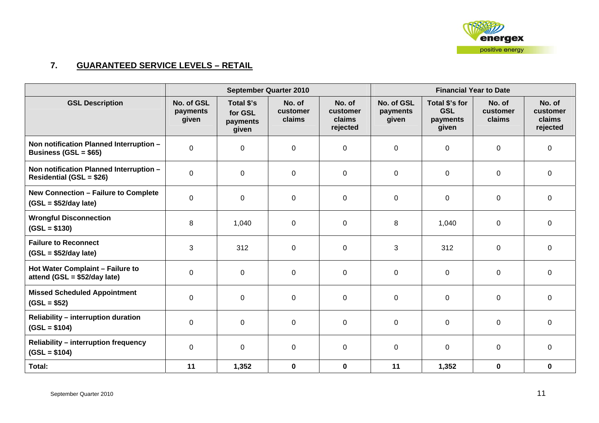

### **7. GUARANTEED SERVICE LEVELS – RETAIL**

|                                                                            |                                 |                                            | <b>September Quarter 2010</b> |                                          | <b>Financial Year to Date</b>   |                                                   |                              |                                          |
|----------------------------------------------------------------------------|---------------------------------|--------------------------------------------|-------------------------------|------------------------------------------|---------------------------------|---------------------------------------------------|------------------------------|------------------------------------------|
| <b>GSL Description</b>                                                     | No. of GSL<br>payments<br>given | Total \$'s<br>for GSL<br>payments<br>given | No. of<br>customer<br>claims  | No. of<br>customer<br>claims<br>rejected | No. of GSL<br>payments<br>given | Total \$'s for<br><b>GSL</b><br>payments<br>given | No. of<br>customer<br>claims | No. of<br>customer<br>claims<br>rejected |
| Non notification Planned Interruption -<br>Business (GSL = $$65$ )         | $\mathbf 0$                     | 0                                          | $\mathbf 0$                   | $\mathbf 0$                              | $\mathbf 0$                     | $\mathbf 0$                                       | $\mathbf 0$                  | $\overline{0}$                           |
| Non notification Planned Interruption -<br><b>Residential (GSL = \$26)</b> | $\mathbf 0$                     | 0                                          | 0                             | $\mathbf 0$                              | $\mathbf 0$                     | $\mathbf 0$                                       | 0                            | $\overline{0}$                           |
| <b>New Connection - Failure to Complete</b><br>$(GSL = $52/day$ late)      | $\mathbf 0$                     | 0                                          | $\mathbf 0$                   | $\mathbf 0$                              | $\mathbf 0$                     | $\mathbf 0$                                       | $\mathbf 0$                  | $\overline{0}$                           |
| <b>Wrongful Disconnection</b><br>$(GSL = $130)$                            | 8                               | 1,040                                      | $\mathbf 0$                   | $\mathbf 0$                              | 8                               | 1,040                                             | $\mathbf 0$                  | $\overline{0}$                           |
| <b>Failure to Reconnect</b><br>$(GSL = $52/day$ late)                      | 3                               | 312                                        | $\mathbf 0$                   | $\mathbf 0$                              | 3                               | 312                                               | $\mathbf 0$                  | $\overline{0}$                           |
| Hot Water Complaint - Failure to<br>attend (GSL = \$52/day late)           | $\mathbf 0$                     | 0                                          | $\mathbf 0$                   | $\mathbf 0$                              | $\mathbf 0$                     | $\mathbf 0$                                       | $\mathbf 0$                  | $\overline{0}$                           |
| <b>Missed Scheduled Appointment</b><br>$(GSL = $52)$                       | $\Omega$                        | $\mathbf 0$                                | 0                             | $\mathbf 0$                              | $\mathbf 0$                     | $\mathbf 0$                                       | $\mathbf 0$                  | $\overline{0}$                           |
| <b>Reliability - interruption duration</b><br>$(GSL = $104)$               | $\mathbf 0$                     | $\mathbf 0$                                | $\mathbf 0$                   | $\mathsf 0$                              | $\mathbf 0$                     | $\mathbf 0$                                       | $\mathbf 0$                  | $\overline{0}$                           |
| <b>Reliability - interruption frequency</b><br>$(GSL = $104)$              | $\mathbf 0$                     | $\overline{0}$                             | $\mathbf 0$                   | $\mathbf 0$                              | $\mathbf 0$                     | $\mathbf 0$                                       | $\mathbf 0$                  | $\overline{0}$                           |
| Total:                                                                     | 11                              | 1,352                                      | $\pmb{0}$                     | $\mathbf 0$                              | 11                              | 1,352                                             | $\mathbf 0$                  | $\mathbf 0$                              |